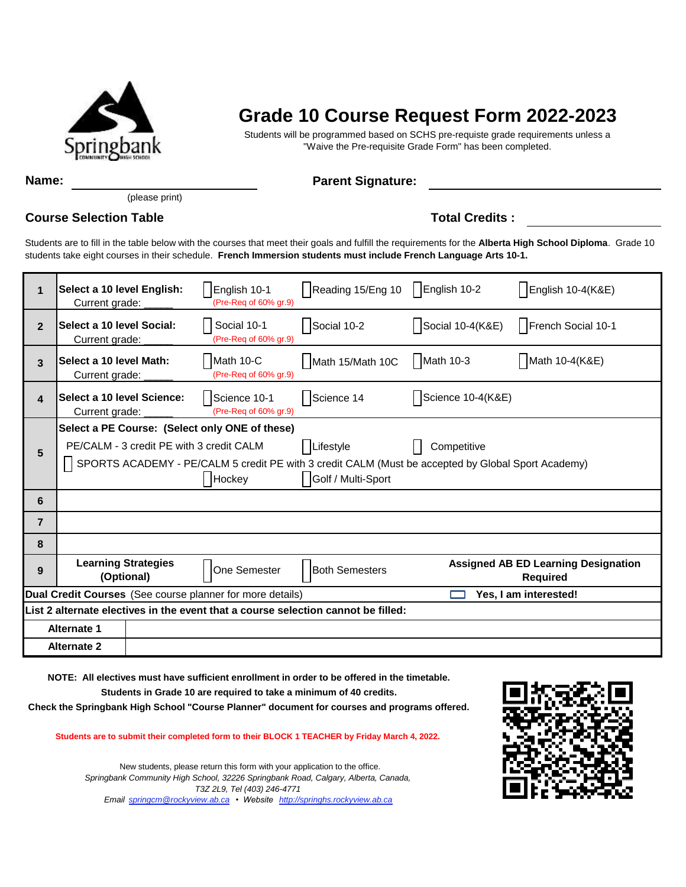

## **Grade 10 Course Request Form 2022-2023**

Students will be programmed based on SCHS pre-requiste grade requirements unless a "Waive the Pre-requisite Grade Form" has been completed.

**Name:** Parent Signature:

(please print)

## **Course Selection Table Total Credits :**

Students are to fill in the table below with the courses that meet their goals and fulfill the requirements for the **Alberta High School Diploma**. Grade 10 students take eight courses in their schedule. **French Immersion students must include French Language Arts 10-1.** 

| 1                  | Select a 10 level English:<br>Current grade:                                                                                                                                                                                                                 |  | English 10-1<br>(Pre-Req of 60% gr.9) | Reading 15/Eng 10   English 10-2 |                   | English 10-4(K&E)                                             |  |
|--------------------|--------------------------------------------------------------------------------------------------------------------------------------------------------------------------------------------------------------------------------------------------------------|--|---------------------------------------|----------------------------------|-------------------|---------------------------------------------------------------|--|
| $\overline{2}$     | Select a 10 level Social:<br>Current grade:                                                                                                                                                                                                                  |  | Social 10-1<br>(Pre-Req of 60% gr.9)  | Social 10-2                      | Social 10-4(K&E)  | French Social 10-1                                            |  |
| 3                  | Select a 10 level Math:<br>Current grade:                                                                                                                                                                                                                    |  | Math 10-C<br>(Pre-Req of 60% gr.9)    | Math 15/Math 10C                 | Math 10-3         | Math 10-4(K&E)                                                |  |
| 4                  | Select a 10 level Science:<br>Current grade:                                                                                                                                                                                                                 |  | Science 10-1<br>(Pre-Req of 60% gr.9) | Science 14                       | Science 10-4(K&E) |                                                               |  |
| 5                  | Select a PE Course: (Select only ONE of these)<br>Lifestyle<br>PE/CALM - 3 credit PE with 3 credit CALM<br>Competitive<br>SPORTS ACADEMY - PE/CALM 5 credit PE with 3 credit CALM (Must be accepted by Global Sport Academy)<br>Golf / Multi-Sport<br>Hockey |  |                                       |                                  |                   |                                                               |  |
| 6                  |                                                                                                                                                                                                                                                              |  |                                       |                                  |                   |                                                               |  |
| $\overline{7}$     |                                                                                                                                                                                                                                                              |  |                                       |                                  |                   |                                                               |  |
| 8                  |                                                                                                                                                                                                                                                              |  |                                       |                                  |                   |                                                               |  |
| 9                  | <b>Learning Strategies</b><br>(Optional)                                                                                                                                                                                                                     |  | One Semester                          | <b>Both Semesters</b>            |                   | <b>Assigned AB ED Learning Designation</b><br><b>Required</b> |  |
|                    | Dual Credit Courses (See course planner for more details)<br>Yes, I am interested!                                                                                                                                                                           |  |                                       |                                  |                   |                                                               |  |
|                    | List 2 alternate electives in the event that a course selection cannot be filled:                                                                                                                                                                            |  |                                       |                                  |                   |                                                               |  |
| <b>Alternate 1</b> |                                                                                                                                                                                                                                                              |  |                                       |                                  |                   |                                                               |  |
|                    | <b>Alternate 2</b>                                                                                                                                                                                                                                           |  |                                       |                                  |                   |                                                               |  |

**NOTE: All electives must have sufficient enrollment in order to be offered in the timetable.**

**Students in Grade 10 are required to take a minimum of 40 credits.**

**Check the Springbank High School "Course Planner" document for courses and programs offered.**

**Students are to submit their completed form to their BLOCK 1 TEACHER by Friday March 4, 2022.** 

*Springbank Community High School, 32226 Springbank Road, Calgary, Alberta, Canada, T3Z 2L9, Tel (403) 246-4771 Email springcm@rockyview.ab.ca • Website http://springhs.rockyview.ab.ca* New students, please return this form with your application to the office.